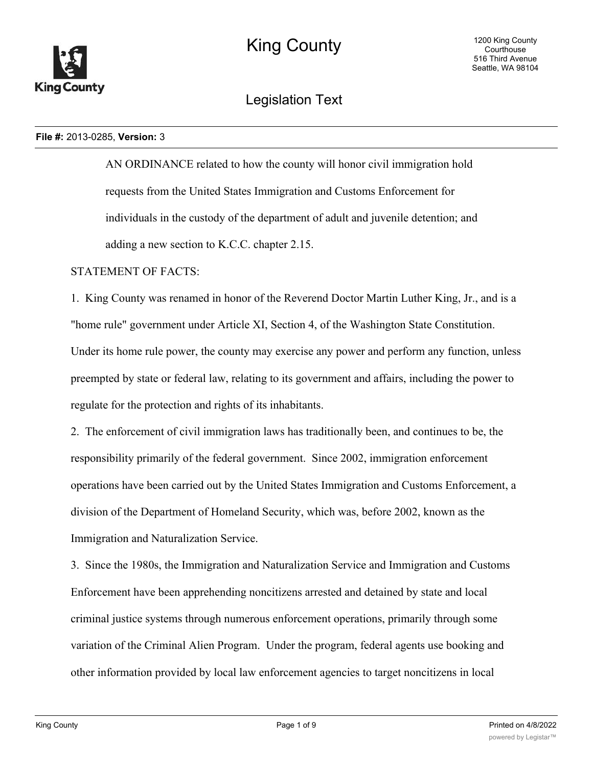

Legislation Text

### **File #:** 2013-0285, **Version:** 3

AN ORDINANCE related to how the county will honor civil immigration hold requests from the United States Immigration and Customs Enforcement for individuals in the custody of the department of adult and juvenile detention; and adding a new section to K.C.C. chapter 2.15.

# STATEMENT OF FACTS:

1. King County was renamed in honor of the Reverend Doctor Martin Luther King, Jr., and is a "home rule" government under Article XI, Section 4, of the Washington State Constitution. Under its home rule power, the county may exercise any power and perform any function, unless preempted by state or federal law, relating to its government and affairs, including the power to regulate for the protection and rights of its inhabitants.

2. The enforcement of civil immigration laws has traditionally been, and continues to be, the responsibility primarily of the federal government. Since 2002, immigration enforcement operations have been carried out by the United States Immigration and Customs Enforcement, a division of the Department of Homeland Security, which was, before 2002, known as the Immigration and Naturalization Service.

3. Since the 1980s, the Immigration and Naturalization Service and Immigration and Customs Enforcement have been apprehending noncitizens arrested and detained by state and local criminal justice systems through numerous enforcement operations, primarily through some variation of the Criminal Alien Program. Under the program, federal agents use booking and other information provided by local law enforcement agencies to target noncitizens in local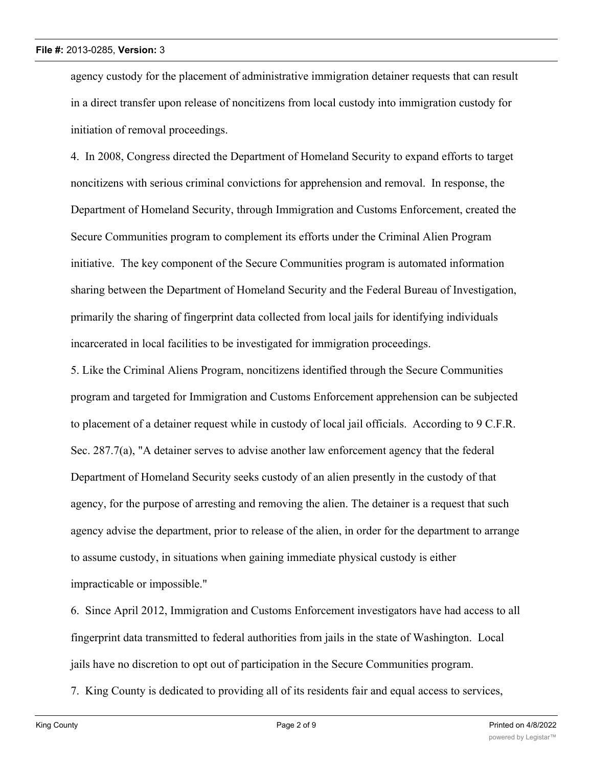agency custody for the placement of administrative immigration detainer requests that can result in a direct transfer upon release of noncitizens from local custody into immigration custody for initiation of removal proceedings.

4. In 2008, Congress directed the Department of Homeland Security to expand efforts to target noncitizens with serious criminal convictions for apprehension and removal. In response, the Department of Homeland Security, through Immigration and Customs Enforcement, created the Secure Communities program to complement its efforts under the Criminal Alien Program initiative. The key component of the Secure Communities program is automated information sharing between the Department of Homeland Security and the Federal Bureau of Investigation, primarily the sharing of fingerprint data collected from local jails for identifying individuals incarcerated in local facilities to be investigated for immigration proceedings.

5. Like the Criminal Aliens Program, noncitizens identified through the Secure Communities program and targeted for Immigration and Customs Enforcement apprehension can be subjected to placement of a detainer request while in custody of local jail officials. According to 9 C.F.R. Sec. 287.7(a), "A detainer serves to advise another law enforcement agency that the federal Department of Homeland Security seeks custody of an alien presently in the custody of that agency, for the purpose of arresting and removing the alien. The detainer is a request that such agency advise the department, prior to release of the alien, in order for the department to arrange to assume custody, in situations when gaining immediate physical custody is either impracticable or impossible."

6. Since April 2012, Immigration and Customs Enforcement investigators have had access to all fingerprint data transmitted to federal authorities from jails in the state of Washington. Local jails have no discretion to opt out of participation in the Secure Communities program.

7. King County is dedicated to providing all of its residents fair and equal access to services,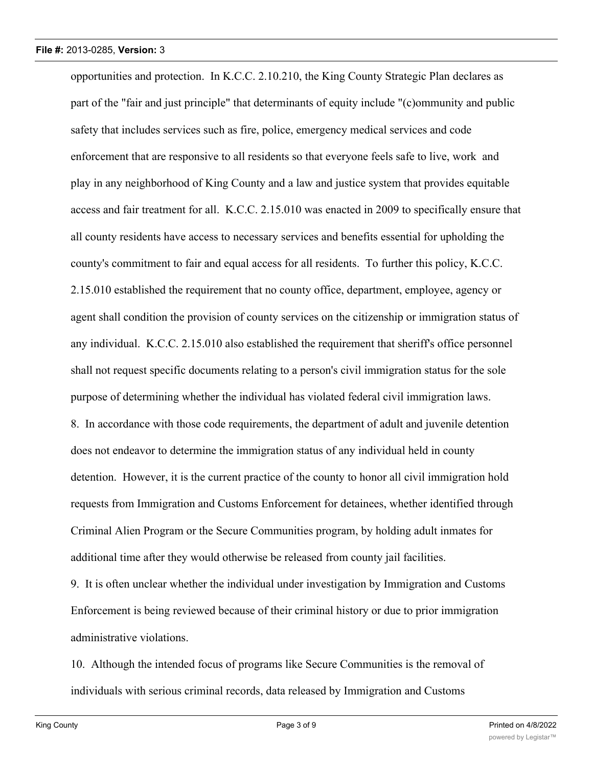opportunities and protection. In K.C.C. 2.10.210, the King County Strategic Plan declares as part of the "fair and just principle" that determinants of equity include "(c)ommunity and public safety that includes services such as fire, police, emergency medical services and code enforcement that are responsive to all residents so that everyone feels safe to live, work and play in any neighborhood of King County and a law and justice system that provides equitable access and fair treatment for all. K.C.C. 2.15.010 was enacted in 2009 to specifically ensure that all county residents have access to necessary services and benefits essential for upholding the county's commitment to fair and equal access for all residents. To further this policy, K.C.C. 2.15.010 established the requirement that no county office, department, employee, agency or agent shall condition the provision of county services on the citizenship or immigration status of any individual. K.C.C. 2.15.010 also established the requirement that sheriff's office personnel shall not request specific documents relating to a person's civil immigration status for the sole purpose of determining whether the individual has violated federal civil immigration laws. 8. In accordance with those code requirements, the department of adult and juvenile detention does not endeavor to determine the immigration status of any individual held in county detention. However, it is the current practice of the county to honor all civil immigration hold requests from Immigration and Customs Enforcement for detainees, whether identified through Criminal Alien Program or the Secure Communities program, by holding adult inmates for additional time after they would otherwise be released from county jail facilities. 9. It is often unclear whether the individual under investigation by Immigration and Customs

Enforcement is being reviewed because of their criminal history or due to prior immigration administrative violations.

10. Although the intended focus of programs like Secure Communities is the removal of individuals with serious criminal records, data released by Immigration and Customs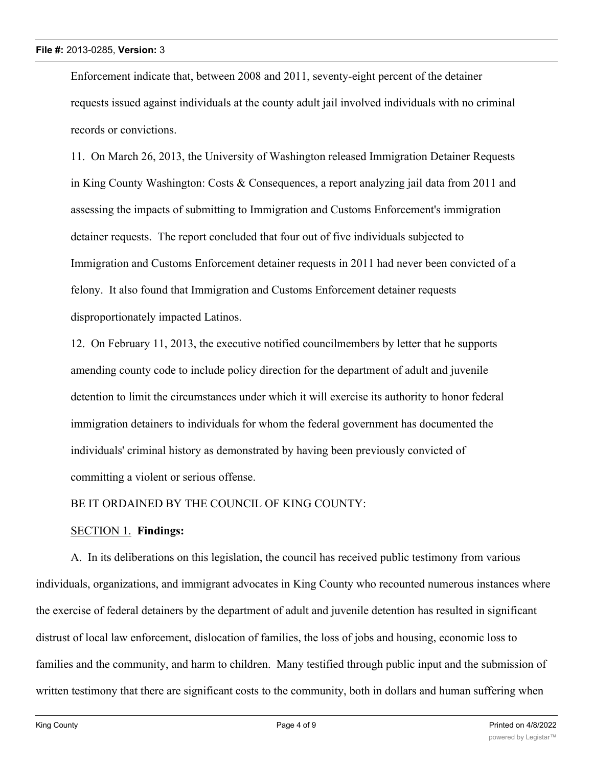Enforcement indicate that, between 2008 and 2011, seventy-eight percent of the detainer requests issued against individuals at the county adult jail involved individuals with no criminal records or convictions.

11. On March 26, 2013, the University of Washington released Immigration Detainer Requests in King County Washington: Costs & Consequences, a report analyzing jail data from 2011 and assessing the impacts of submitting to Immigration and Customs Enforcement's immigration detainer requests. The report concluded that four out of five individuals subjected to Immigration and Customs Enforcement detainer requests in 2011 had never been convicted of a felony. It also found that Immigration and Customs Enforcement detainer requests disproportionately impacted Latinos.

12. On February 11, 2013, the executive notified councilmembers by letter that he supports amending county code to include policy direction for the department of adult and juvenile detention to limit the circumstances under which it will exercise its authority to honor federal immigration detainers to individuals for whom the federal government has documented the individuals' criminal history as demonstrated by having been previously convicted of committing a violent or serious offense.

BE IT ORDAINED BY THE COUNCIL OF KING COUNTY:

## SECTION 1. **Findings:**

A. In its deliberations on this legislation, the council has received public testimony from various individuals, organizations, and immigrant advocates in King County who recounted numerous instances where the exercise of federal detainers by the department of adult and juvenile detention has resulted in significant distrust of local law enforcement, dislocation of families, the loss of jobs and housing, economic loss to families and the community, and harm to children. Many testified through public input and the submission of written testimony that there are significant costs to the community, both in dollars and human suffering when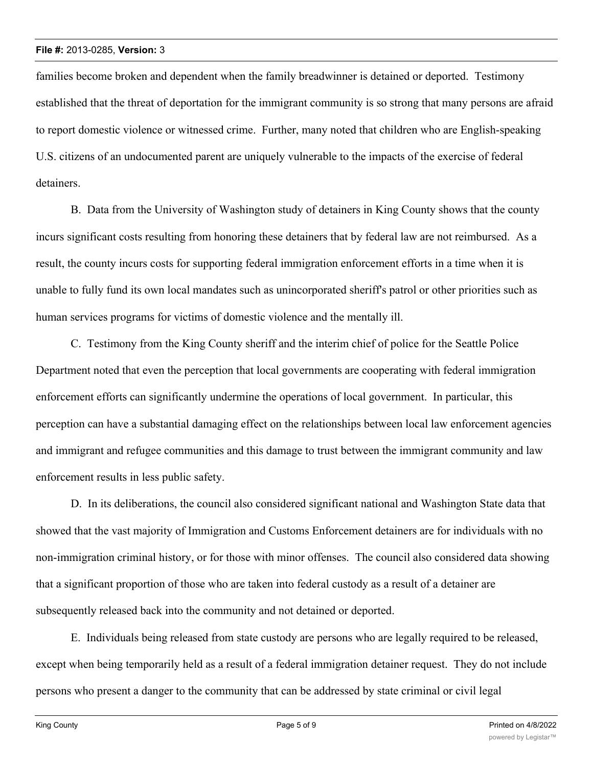families become broken and dependent when the family breadwinner is detained or deported. Testimony established that the threat of deportation for the immigrant community is so strong that many persons are afraid to report domestic violence or witnessed crime. Further, many noted that children who are English-speaking U.S. citizens of an undocumented parent are uniquely vulnerable to the impacts of the exercise of federal detainers.

B. Data from the University of Washington study of detainers in King County shows that the county incurs significant costs resulting from honoring these detainers that by federal law are not reimbursed. As a result, the county incurs costs for supporting federal immigration enforcement efforts in a time when it is unable to fully fund its own local mandates such as unincorporated sheriff's patrol or other priorities such as human services programs for victims of domestic violence and the mentally ill.

C. Testimony from the King County sheriff and the interim chief of police for the Seattle Police Department noted that even the perception that local governments are cooperating with federal immigration enforcement efforts can significantly undermine the operations of local government. In particular, this perception can have a substantial damaging effect on the relationships between local law enforcement agencies and immigrant and refugee communities and this damage to trust between the immigrant community and law enforcement results in less public safety.

D. In its deliberations, the council also considered significant national and Washington State data that showed that the vast majority of Immigration and Customs Enforcement detainers are for individuals with no non-immigration criminal history, or for those with minor offenses. The council also considered data showing that a significant proportion of those who are taken into federal custody as a result of a detainer are subsequently released back into the community and not detained or deported.

E. Individuals being released from state custody are persons who are legally required to be released, except when being temporarily held as a result of a federal immigration detainer request. They do not include persons who present a danger to the community that can be addressed by state criminal or civil legal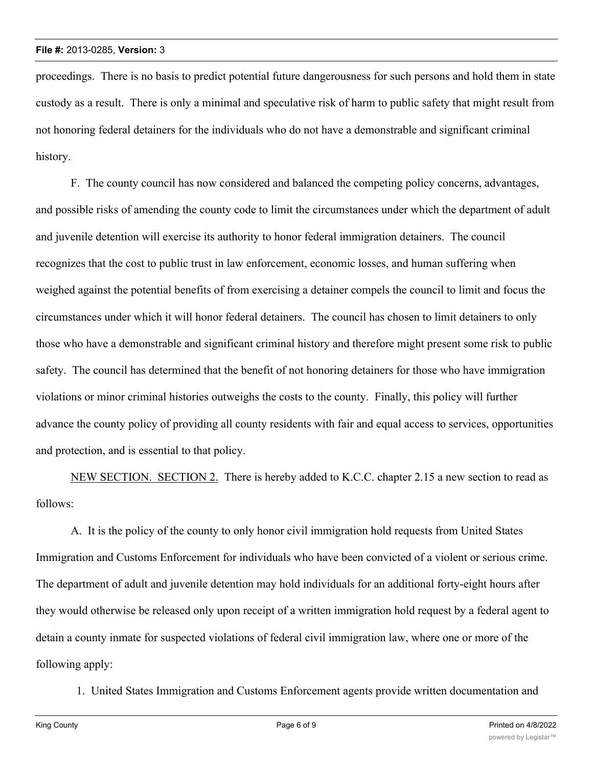proceedings. There is no basis to predict potential future dangerousness for such persons and hold them in state custody as a result. There is only a minimal and speculative risk of harm to public safety that might result from not honoring federal detainers for the individuals who do not have a demonstrable and significant criminal history.

F. The county council has now considered and balanced the competing policy concerns, advantages, and possible risks of amending the county code to limit the circumstances under which the department of adult and juvenile detention will exercise its authority to honor federal immigration detainers. The council recognizes that the cost to public trust in law enforcement, economic losses, and human suffering when weighed against the potential benefits of from exercising a detainer compels the council to limit and focus the circumstances under which it will honor federal detainers. The council has chosen to limit detainers to only those who have a demonstrable and significant criminal history and therefore might present some risk to public safety. The council has determined that the benefit of not honoring detainers for those who have immigration violations or minor criminal histories outweighs the costs to the county. Finally, this policy will further advance the county policy of providing all county residents with fair and equal access to services, opportunities and protection, and is essential to that policy.

NEW SECTION. SECTION 2. There is hereby added to K.C.C. chapter 2.15 a new section to read as follows:

A. It is the policy of the county to only honor civil immigration hold requests from United States Immigration and Customs Enforcement for individuals who have been convicted of a violent or serious crime. The department of adult and juvenile detention may hold individuals for an additional forty-eight hours after they would otherwise be released only upon receipt of a written immigration hold request by a federal agent to detain a county inmate for suspected violations of federal civil immigration law, where one or more of the following apply:

1. United States Immigration and Customs Enforcement agents provide written documentation and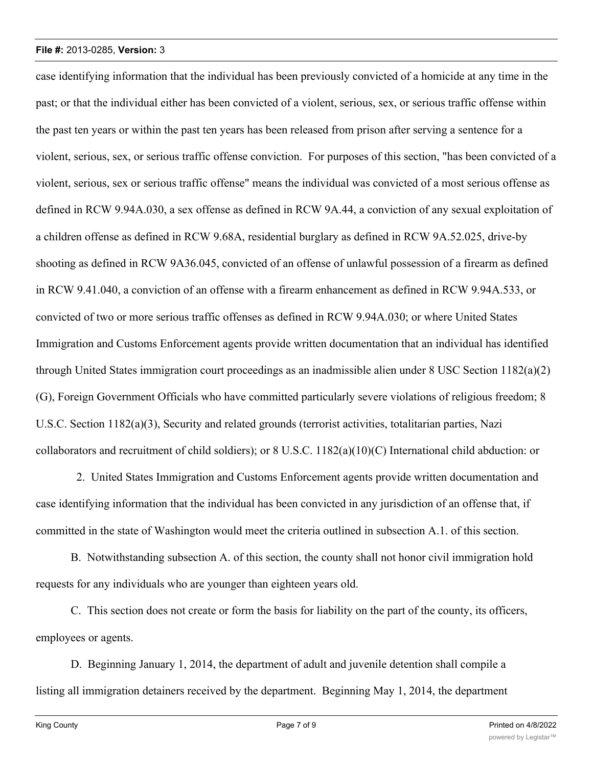case identifying information that the individual has been previously convicted of a homicide at any time in the past; or that the individual either has been convicted of a violent, serious, sex, or serious traffic offense within the past ten years or within the past ten years has been released from prison after serving a sentence for a violent, serious, sex, or serious traffic offense conviction. For purposes of this section, "has been convicted of a violent, serious, sex or serious traffic offense" means the individual was convicted of a most serious offense as defined in RCW 9.94A.030, a sex offense as defined in RCW 9A.44, a conviction of any sexual exploitation of a children offense as defined in RCW 9.68A, residential burglary as defined in RCW 9A.52.025, drive-by shooting as defined in RCW 9A36.045, convicted of an offense of unlawful possession of a firearm as defined in RCW 9.41.040, a conviction of an offense with a firearm enhancement as defined in RCW 9.94A.533, or convicted of two or more serious traffic offenses as defined in RCW 9.94A.030; or where United States Immigration and Customs Enforcement agents provide written documentation that an individual has identified through United States immigration court proceedings as an inadmissible alien under 8 USC Section 1182(a)(2) (G), Foreign Government Officials who have committed particularly severe violations of religious freedom; 8 U.S.C. Section 1182(a)(3), Security and related grounds (terrorist activities, totalitarian parties, Nazi collaborators and recruitment of child soldiers); or  $8 \text{ U.S.C. } 1182(a)(10)(C)$  International child abduction: or

 2. United States Immigration and Customs Enforcement agents provide written documentation and case identifying information that the individual has been convicted in any jurisdiction of an offense that, if committed in the state of Washington would meet the criteria outlined in subsection A.1. of this section.

B. Notwithstanding subsection A. of this section, the county shall not honor civil immigration hold requests for any individuals who are younger than eighteen years old.

C. This section does not create or form the basis for liability on the part of the county, its officers, employees or agents.

D. Beginning January 1, 2014, the department of adult and juvenile detention shall compile a listing all immigration detainers received by the department. Beginning May 1, 2014, the department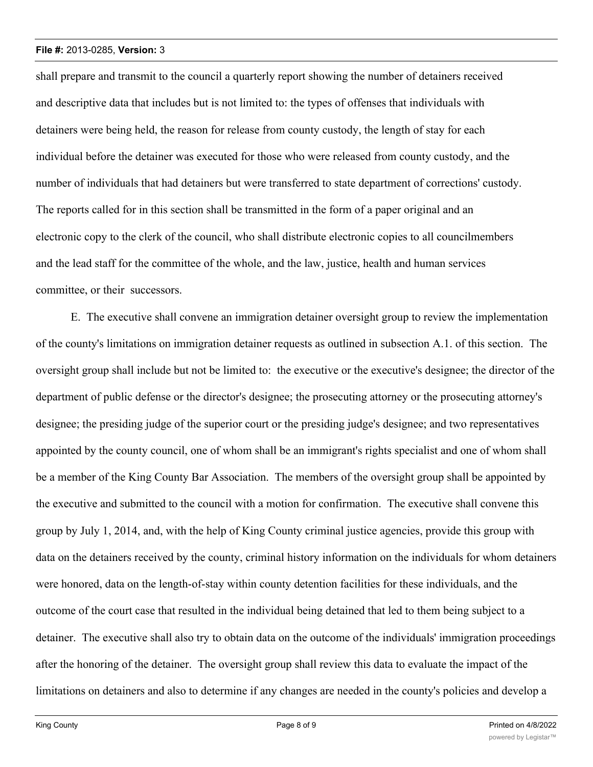shall prepare and transmit to the council a quarterly report showing the number of detainers received and descriptive data that includes but is not limited to: the types of offenses that individuals with detainers were being held, the reason for release from county custody, the length of stay for each individual before the detainer was executed for those who were released from county custody, and the number of individuals that had detainers but were transferred to state department of corrections' custody. The reports called for in this section shall be transmitted in the form of a paper original and an electronic copy to the clerk of the council, who shall distribute electronic copies to all councilmembers and the lead staff for the committee of the whole, and the law, justice, health and human services committee, or their successors.

E. The executive shall convene an immigration detainer oversight group to review the implementation of the county's limitations on immigration detainer requests as outlined in subsection A.1. of this section. The oversight group shall include but not be limited to: the executive or the executive's designee; the director of the department of public defense or the director's designee; the prosecuting attorney or the prosecuting attorney's designee; the presiding judge of the superior court or the presiding judge's designee; and two representatives appointed by the county council, one of whom shall be an immigrant's rights specialist and one of whom shall be a member of the King County Bar Association. The members of the oversight group shall be appointed by the executive and submitted to the council with a motion for confirmation. The executive shall convene this group by July 1, 2014, and, with the help of King County criminal justice agencies, provide this group with data on the detainers received by the county, criminal history information on the individuals for whom detainers were honored, data on the length-of-stay within county detention facilities for these individuals, and the outcome of the court case that resulted in the individual being detained that led to them being subject to a detainer. The executive shall also try to obtain data on the outcome of the individuals' immigration proceedings after the honoring of the detainer. The oversight group shall review this data to evaluate the impact of the limitations on detainers and also to determine if any changes are needed in the county's policies and develop a